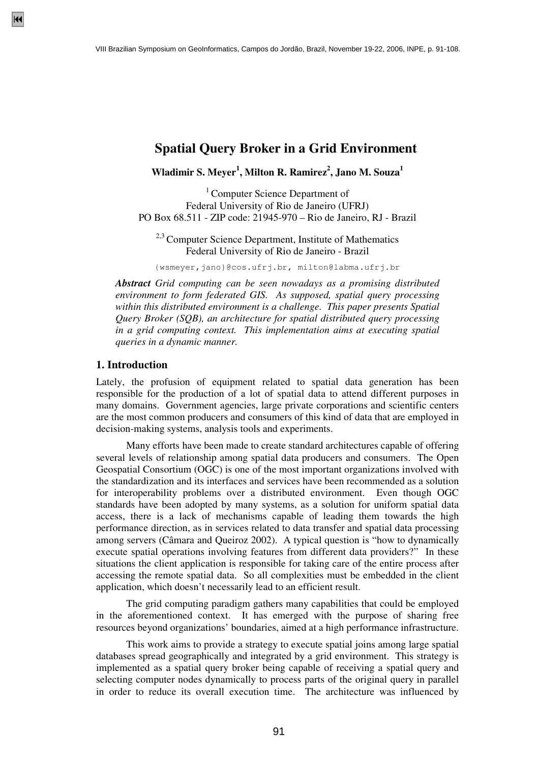# **Spatial Query Broker in a Grid Environment**

**Wladimir S. Meyer<sup>1</sup> , Milton R. Ramirez<sup>2</sup> , Jano M. Souza<sup>1</sup>** 

 $1$ Computer Science Department of Federal University of Rio de Janeiro (UFRJ) PO Box 68.511 - ZIP code: 21945-970 – Rio de Janeiro, RJ - Brazil

<sup>2,3</sup> Computer Science Department, Institute of Mathematics Federal University of Rio de Janeiro - Brazil

{wsmeyer,jano}@cos.ufrj.br, milton@labma.ufrj.br

*Abstract Grid computing can be seen nowadays as a promising distributed environment to form federated GIS. As supposed, spatial query processing within this distributed environment is a challenge. This paper presents Spatial Query Broker (SQB), an architecture for spatial distributed query processing in a grid computing context. This implementation aims at executing spatial queries in a dynamic manner.* 

# **1. Introduction**

Lately, the profusion of equipment related to spatial data generation has been responsible for the production of a lot of spatial data to attend different purposes in many domains. Government agencies, large private corporations and scientific centers are the most common producers and consumers of this kind of data that are employed in decision-making systems, analysis tools and experiments.

 Many efforts have been made to create standard architectures capable of offering several levels of relationship among spatial data producers and consumers. The Open Geospatial Consortium (OGC) is one of the most important organizations involved with the standardization and its interfaces and services have been recommended as a solution for interoperability problems over a distributed environment. Even though OGC standards have been adopted by many systems, as a solution for uniform spatial data access, there is a lack of mechanisms capable of leading them towards the high performance direction, as in services related to data transfer and spatial data processing among servers (Câmara and Queiroz 2002). A typical question is "how to dynamically execute spatial operations involving features from different data providers?" In these situations the client application is responsible for taking care of the entire process after accessing the remote spatial data. So all complexities must be embedded in the client application, which doesn't necessarily lead to an efficient result. 991 Startan Symposium Carolice with America Campos do Jordán, Brazil, 19-12, 19-13, 19-14, 19-14, 19-14, 19-14, 19-14, 19-14, 19-14, 19-14, 19-14, 19-14, 19-14, 19-14, 19-14, 19-14, 19-14, 19-14, 19-14, 19-14, 19-14, 19-1

 The grid computing paradigm gathers many capabilities that could be employed in the aforementioned context. It has emerged with the purpose of sharing free resources beyond organizations' boundaries, aimed at a high performance infrastructure.

 This work aims to provide a strategy to execute spatial joins among large spatial databases spread geographically and integrated by a grid environment. This strategy is implemented as a spatial query broker being capable of receiving a spatial query and selecting computer nodes dynamically to process parts of the original query in parallel in order to reduce its overall execution time. The architecture was influenced by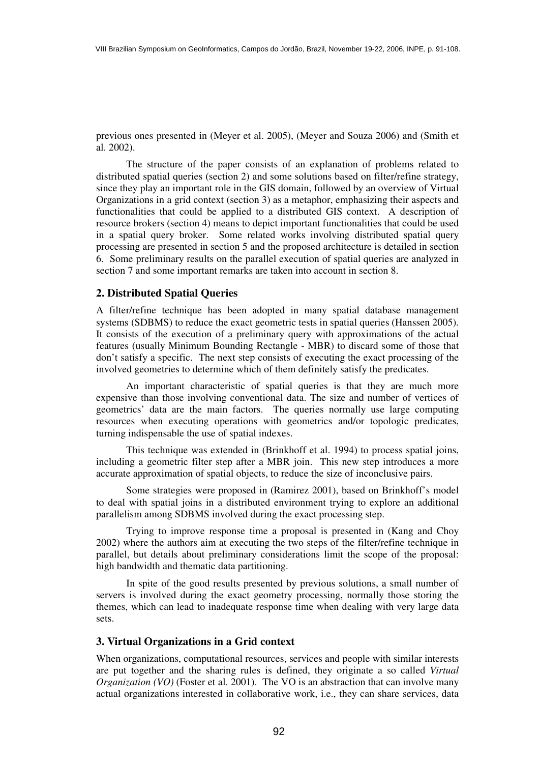previous ones presented in (Meyer et al. 2005), (Meyer and Souza 2006) and (Smith et al. 2002).

 The structure of the paper consists of an explanation of problems related to distributed spatial queries (section 2) and some solutions based on filter/refine strategy, since they play an important role in the GIS domain, followed by an overview of Virtual Organizations in a grid context (section 3) as a metaphor, emphasizing their aspects and functionalities that could be applied to a distributed GIS context. A description of resource brokers (section 4) means to depict important functionalities that could be used in a spatial query broker. Some related works involving distributed spatial query processing are presented in section 5 and the proposed architecture is detailed in section 6. Some preliminary results on the parallel execution of spatial queries are analyzed in section 7 and some important remarks are taken into account in section 8. WII Brazilian Symposium on Georiesmure, Gerpos do Jordão, Brazil, November 19.22, 2006, INPE a symposium on Symbolismus (Figure 19.22, 2006) and (Similar devices of the experimented of the experimented of the exploration o

# **2. Distributed Spatial Queries**

A filter/refine technique has been adopted in many spatial database management systems (SDBMS) to reduce the exact geometric tests in spatial queries (Hanssen 2005). It consists of the execution of a preliminary query with approximations of the actual features (usually Minimum Bounding Rectangle - MBR) to discard some of those that don't satisfy a specific. The next step consists of executing the exact processing of the involved geometries to determine which of them definitely satisfy the predicates.

 An important characteristic of spatial queries is that they are much more expensive than those involving conventional data. The size and number of vertices of geometrics' data are the main factors. The queries normally use large computing resources when executing operations with geometrics and/or topologic predicates, turning indispensable the use of spatial indexes.

 This technique was extended in (Brinkhoff et al. 1994) to process spatial joins, including a geometric filter step after a MBR join. This new step introduces a more accurate approximation of spatial objects, to reduce the size of inconclusive pairs.

 Some strategies were proposed in (Ramirez 2001), based on Brinkhoff's model to deal with spatial joins in a distributed environment trying to explore an additional parallelism among SDBMS involved during the exact processing step.

 Trying to improve response time a proposal is presented in (Kang and Choy 2002) where the authors aim at executing the two steps of the filter/refine technique in parallel, but details about preliminary considerations limit the scope of the proposal: high bandwidth and thematic data partitioning.

 In spite of the good results presented by previous solutions, a small number of servers is involved during the exact geometry processing, normally those storing the themes, which can lead to inadequate response time when dealing with very large data sets.

## **3. Virtual Organizations in a Grid context**

When organizations, computational resources, services and people with similar interests are put together and the sharing rules is defined, they originate a so called *Virtual Organization (VO)* (Foster et al. 2001). The VO is an abstraction that can involve many actual organizations interested in collaborative work, i.e., they can share services, data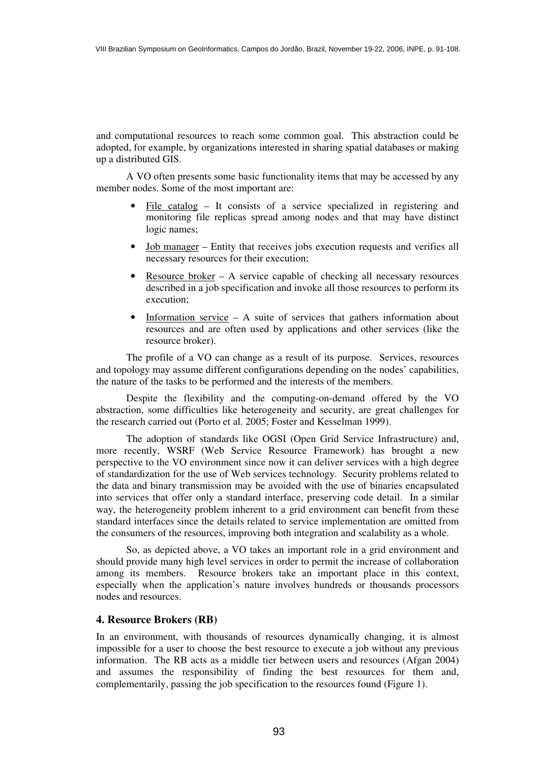and computational resources to reach some common goal. This abstraction could be adopted, for example, by organizations interested in sharing spatial databases or making up a distributed GIS.

 A VO often presents some basic functionality items that may be accessed by any member nodes. Some of the most important are:

- File catalog It consists of a service specialized in registering and monitoring file replicas spread among nodes and that may have distinct logic names;
- Job manager Entity that receives jobs execution requests and verifies all necessary resources for their execution;
- Resource broker A service capable of checking all necessary resources described in a job specification and invoke all those resources to perform its execution;
- Information service A suite of services that gathers information about resources and are often used by applications and other services (like the resource broker).

 The profile of a VO can change as a result of its purpose. Services, resources and topology may assume different configurations depending on the nodes' capabilities, the nature of the tasks to be performed and the interests of the members.

 Despite the flexibility and the computing-on-demand offered by the VO abstraction, some difficulties like heterogeneity and security, are great challenges for the research carried out (Porto et al. 2005; Foster and Kesselman 1999).

 The adoption of standards like OGSI (Open Grid Service Infrastructure) and, more recently, WSRF (Web Service Resource Framework) has brought a new perspective to the VO environment since now it can deliver services with a high degree of standardization for the use of Web services technology. Security problems related to the data and binary transmission may be avoided with the use of binaries encapsulated into services that offer only a standard interface, preserving code detail. In a similar way, the heterogeneity problem inherent to a grid environment can benefit from these standard interfaces since the details related to service implementation are omitted from the consumers of the resources, improving both integration and scalability as a whole. Will Brazilian Symposium on Geodesimwore, Gerposi do Jordan Heroil, Poissuel and Control Camposition and Control Camposition and Camposition and Camposition of Camposition of Camposition and Camposition of Camposition of C

 So, as depicted above, a VO takes an important role in a grid environment and should provide many high level services in order to permit the increase of collaboration among its members. Resource brokers take an important place in this context, especially when the application's nature involves hundreds or thousands processors nodes and resources.

# **4. Resource Brokers (RB)**

In an environment, with thousands of resources dynamically changing, it is almost impossible for a user to choose the best resource to execute a job without any previous information. The RB acts as a middle tier between users and resources (Afgan 2004) and assumes the responsibility of finding the best resources for them and, complementarily, passing the job specification to the resources found (Figure 1).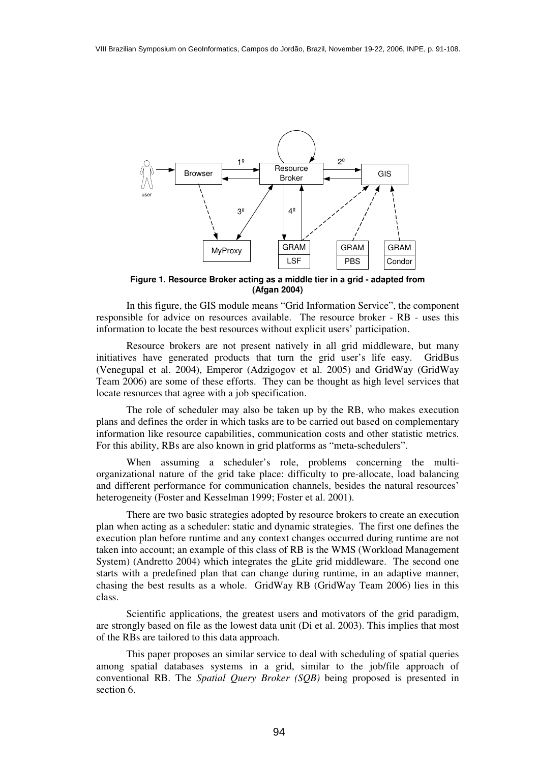

**Figure 1. Resource Broker acting as a middle tier in a grid - adapted from (Afgan 2004)** 

In this figure, the GIS module means "Grid Information Service", the component responsible for advice on resources available. The resource broker - RB - uses this information to locate the best resources without explicit users' participation.

Resource brokers are not present natively in all grid middleware, but many initiatives have generated products that turn the grid user's life easy. GridBus (Venegupal et al. 2004), Emperor (Adzigogov et al. 2005) and GridWay (GridWay Team 2006) are some of these efforts. They can be thought as high level services that locate resources that agree with a job specification.

The role of scheduler may also be taken up by the RB, who makes execution plans and defines the order in which tasks are to be carried out based on complementary information like resource capabilities, communication costs and other statistic metrics. For this ability, RBs are also known in grid platforms as "meta-schedulers".

 When assuming a scheduler's role, problems concerning the multiorganizational nature of the grid take place: difficulty to pre-allocate, load balancing and different performance for communication channels, besides the natural resources' heterogeneity (Foster and Kesselman 1999; Foster et al. 2001).

 There are two basic strategies adopted by resource brokers to create an execution plan when acting as a scheduler: static and dynamic strategies. The first one defines the execution plan before runtime and any context changes occurred during runtime are not taken into account; an example of this class of RB is the WMS (Workload Management System) (Andretto 2004) which integrates the gLite grid middleware. The second one starts with a predefined plan that can change during runtime, in an adaptive manner, chasing the best results as a whole. GridWay RB (GridWay Team 2006) lies in this class.

 Scientific applications, the greatest users and motivators of the grid paradigm, are strongly based on file as the lowest data unit (Di et al. 2003). This implies that most of the RBs are tailored to this data approach.

 This paper proposes an similar service to deal with scheduling of spatial queries among spatial databases systems in a grid, similar to the job/file approach of conventional RB. The *Spatial Query Broker (SQB)* being proposed is presented in section 6.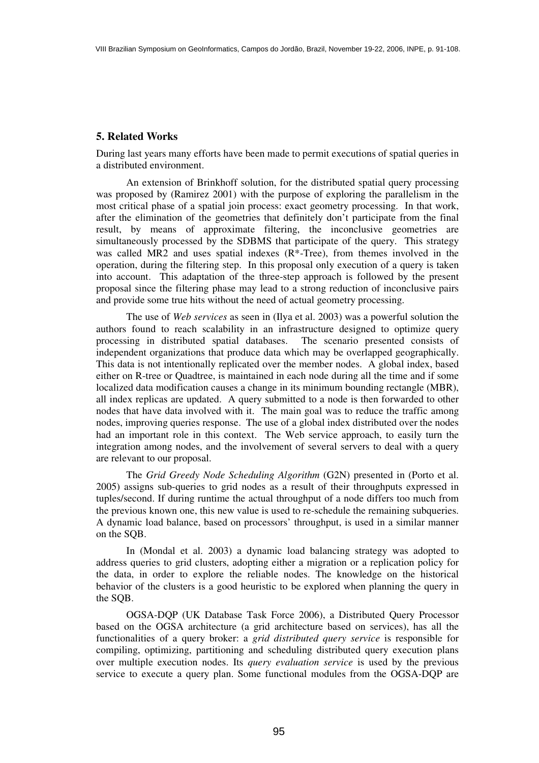# **5. Related Works**

During last years many efforts have been made to permit executions of spatial queries in a distributed environment.

 An extension of Brinkhoff solution, for the distributed spatial query processing was proposed by (Ramirez 2001) with the purpose of exploring the parallelism in the most critical phase of a spatial join process: exact geometry processing. In that work, after the elimination of the geometries that definitely don't participate from the final result, by means of approximate filtering, the inconclusive geometries are simultaneously processed by the SDBMS that participate of the query. This strategy was called MR2 and uses spatial indexes  $(R^*$ -Tree), from themes involved in the operation, during the filtering step. In this proposal only execution of a query is taken into account. This adaptation of the three-step approach is followed by the present proposal since the filtering phase may lead to a strong reduction of inconclusive pairs and provide some true hits without the need of actual geometry processing.

 The use of *Web services* as seen in (Ilya et al. 2003) was a powerful solution the authors found to reach scalability in an infrastructure designed to optimize query processing in distributed spatial databases. The scenario presented consists of independent organizations that produce data which may be overlapped geographically. This data is not intentionally replicated over the member nodes. A global index, based either on R-tree or Quadtree, is maintained in each node during all the time and if some localized data modification causes a change in its minimum bounding rectangle (MBR), all index replicas are updated. A query submitted to a node is then forwarded to other nodes that have data involved with it. The main goal was to reduce the traffic among nodes, improving queries response. The use of a global index distributed over the nodes had an important role in this context. The Web service approach, to easily turn the integration among nodes, and the involvement of several servers to deal with a query are relevant to our proposal. WE Reaction Symposium on Georismwore, Gerpos do Jorelia Readi, November 18-22, 2006, INPE is controlled a controlled and the particle controlled and the symposium of Brazil, November 19-22, 2006, INPE is a controlled parti

 The *Grid Greedy Node Scheduling Algorithm* (G2N) presented in (Porto et al. 2005) assigns sub-queries to grid nodes as a result of their throughputs expressed in tuples/second. If during runtime the actual throughput of a node differs too much from the previous known one, this new value is used to re-schedule the remaining subqueries. A dynamic load balance, based on processors' throughput, is used in a similar manner on the SQB.

 In (Mondal et al. 2003) a dynamic load balancing strategy was adopted to address queries to grid clusters, adopting either a migration or a replication policy for the data, in order to explore the reliable nodes. The knowledge on the historical behavior of the clusters is a good heuristic to be explored when planning the query in the SQB.

 OGSA-DQP (UK Database Task Force 2006), a Distributed Query Processor based on the OGSA architecture (a grid architecture based on services), has all the functionalities of a query broker: a *grid distributed query service* is responsible for compiling, optimizing, partitioning and scheduling distributed query execution plans over multiple execution nodes. Its *query evaluation service* is used by the previous service to execute a query plan. Some functional modules from the OGSA-DQP are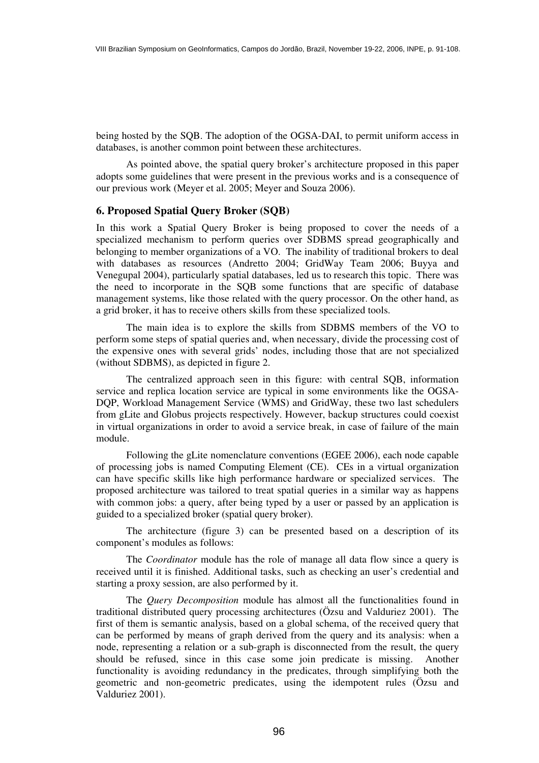being hosted by the SQB. The adoption of the OGSA-DAI, to permit uniform access in databases, is another common point between these architectures.

 As pointed above, the spatial query broker's architecture proposed in this paper adopts some guidelines that were present in the previous works and is a consequence of our previous work (Meyer et al. 2005; Meyer and Souza 2006).

#### **6. Proposed Spatial Query Broker (SQB)**

In this work a Spatial Query Broker is being proposed to cover the needs of a specialized mechanism to perform queries over SDBMS spread geographically and belonging to member organizations of a VO. The inability of traditional brokers to deal with databases as resources (Andretto 2004; GridWay Team 2006; Buyya and Venegupal 2004), particularly spatial databases, led us to research this topic. There was the need to incorporate in the SQB some functions that are specific of database management systems, like those related with the query processor. On the other hand, as a grid broker, it has to receive others skills from these specialized tools.

 The main idea is to explore the skills from SDBMS members of the VO to perform some steps of spatial queries and, when necessary, divide the processing cost of the expensive ones with several grids' nodes, including those that are not specialized (without SDBMS), as depicted in figure 2.

 The centralized approach seen in this figure: with central SQB, information service and replica location service are typical in some environments like the OGSA-DQP, Workload Management Service (WMS) and GridWay, these two last schedulers from gLite and Globus projects respectively. However, backup structures could coexist in virtual organizations in order to avoid a service break, in case of failure of the main module.

 Following the gLite nomenclature conventions (EGEE 2006), each node capable of processing jobs is named Computing Element (CE). CEs in a virtual organization can have specific skills like high performance hardware or specialized services. The proposed architecture was tailored to treat spatial queries in a similar way as happens with common jobs: a query, after being typed by a user or passed by an application is guided to a specialized broker (spatial query broker).

 The architecture (figure 3) can be presented based on a description of its component's modules as follows:

 The *Coordinator* module has the role of manage all data flow since a query is received until it is finished. Additional tasks, such as checking an user's credential and starting a proxy session, are also performed by it.

The *Query Decomposition* module has almost all the functionalities found in traditional distributed query processing architectures (Özsu and Valduriez 2001). The first of them is semantic analysis, based on a global schema, of the received query that can be performed by means of graph derived from the query and its analysis: when a node, representing a relation or a sub-graph is disconnected from the result, the query should be refused, since in this case some join predicate is missing. Another functionality is avoiding redundancy in the predicates, through simplifying both the geometric and non-geometric predicates, using the idempotent rules (Özsu and Valduriez 2001). WII Brazilian Symposium on Geodesimware, Geopoe do Jordão, Brazil, November 18:22, 2006, IDei Solis China Symposium on GeoISA, DAI, to permit uniform access in Agriculture looks, The adoption of the OGSA DAI, to permit uni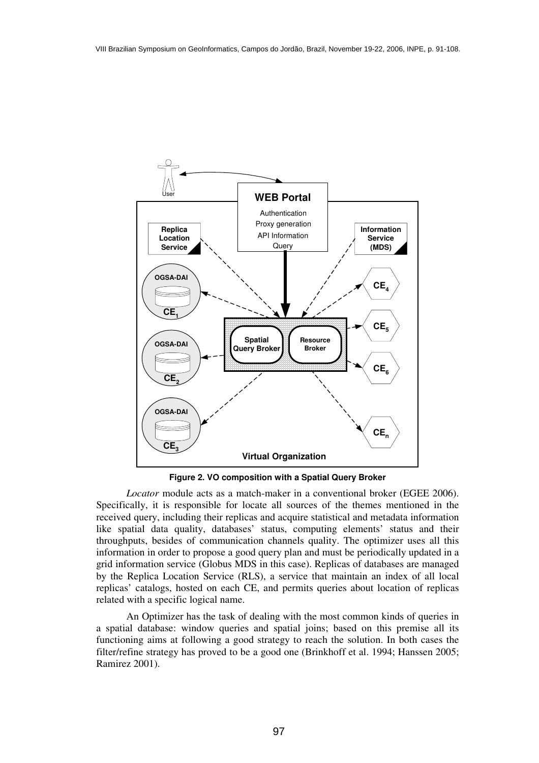

**Figure 2. VO composition with a Spatial Query Broker** 

*Locator* module acts as a match-maker in a conventional broker (EGEE 2006). Specifically, it is responsible for locate all sources of the themes mentioned in the received query, including their replicas and acquire statistical and metadata information like spatial data quality, databases' status, computing elements' status and their throughputs, besides of communication channels quality. The optimizer uses all this information in order to propose a good query plan and must be periodically updated in a grid information service (Globus MDS in this case). Replicas of databases are managed by the Replica Location Service (RLS), a service that maintain an index of all local replicas' catalogs, hosted on each CE, and permits queries about location of replicas related with a specific logical name.

 An Optimizer has the task of dealing with the most common kinds of queries in a spatial database: window queries and spatial joins; based on this premise all its functioning aims at following a good strategy to reach the solution. In both cases the filter/refine strategy has proved to be a good one (Brinkhoff et al. 1994; Hanssen 2005; Ramirez 2001).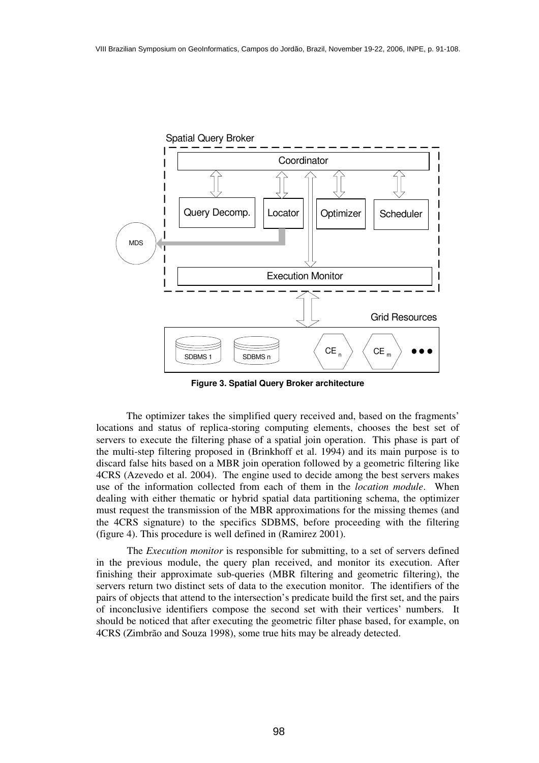

**Figure 3. Spatial Query Broker architecture** 

The optimizer takes the simplified query received and, based on the fragments' locations and status of replica-storing computing elements, chooses the best set of servers to execute the filtering phase of a spatial join operation. This phase is part of the multi-step filtering proposed in (Brinkhoff et al. 1994) and its main purpose is to discard false hits based on a MBR join operation followed by a geometric filtering like 4CRS (Azevedo et al. 2004). The engine used to decide among the best servers makes use of the information collected from each of them in the *location module*. When dealing with either thematic or hybrid spatial data partitioning schema, the optimizer must request the transmission of the MBR approximations for the missing themes (and the 4CRS signature) to the specifics SDBMS, before proceeding with the filtering (figure 4). This procedure is well defined in (Ramirez 2001).

 The *Execution monitor* is responsible for submitting, to a set of servers defined in the previous module, the query plan received, and monitor its execution. After finishing their approximate sub-queries (MBR filtering and geometric filtering), the servers return two distinct sets of data to the execution monitor. The identifiers of the pairs of objects that attend to the intersection's predicate build the first set, and the pairs of inconclusive identifiers compose the second set with their vertices' numbers. It should be noticed that after executing the geometric filter phase based, for example, on 4CRS (Zimbrão and Souza 1998), some true hits may be already detected.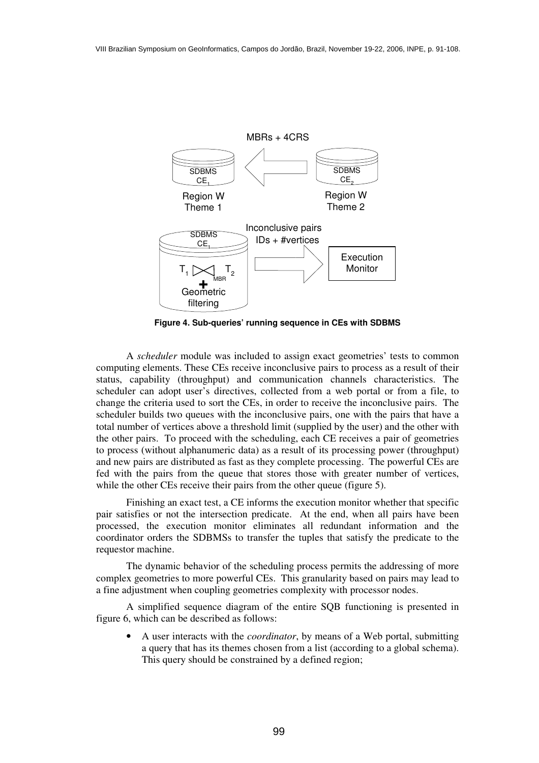

**Figure 4. Sub-queries' running sequence in CEs with SDBMS** 

A *scheduler* module was included to assign exact geometries' tests to common computing elements. These CEs receive inconclusive pairs to process as a result of their status, capability (throughput) and communication channels characteristics. The scheduler can adopt user's directives, collected from a web portal or from a file, to change the criteria used to sort the CEs, in order to receive the inconclusive pairs. The scheduler builds two queues with the inconclusive pairs, one with the pairs that have a total number of vertices above a threshold limit (supplied by the user) and the other with the other pairs. To proceed with the scheduling, each CE receives a pair of geometries to process (without alphanumeric data) as a result of its processing power (throughput) and new pairs are distributed as fast as they complete processing. The powerful CEs are fed with the pairs from the queue that stores those with greater number of vertices, while the other CEs receive their pairs from the other queue (figure 5). We have the controller of the symposium on Geodesium on Campos do Jordão, Brazil, November 19.22, 2006, INPE, p. 91-108.<br>
Program W<br>
Theoretics, Campos Controller (Section 2012)<br>
Theoretics, Campos Controller (Section 201

Finishing an exact test, a CE informs the execution monitor whether that specific pair satisfies or not the intersection predicate. At the end, when all pairs have been processed, the execution monitor eliminates all redundant information and the coordinator orders the SDBMSs to transfer the tuples that satisfy the predicate to the requestor machine.

 The dynamic behavior of the scheduling process permits the addressing of more complex geometries to more powerful CEs. This granularity based on pairs may lead to a fine adjustment when coupling geometries complexity with processor nodes.

 A simplified sequence diagram of the entire SQB functioning is presented in figure 6, which can be described as follows:

• A user interacts with the *coordinator*, by means of a Web portal, submitting a query that has its themes chosen from a list (according to a global schema). This query should be constrained by a defined region;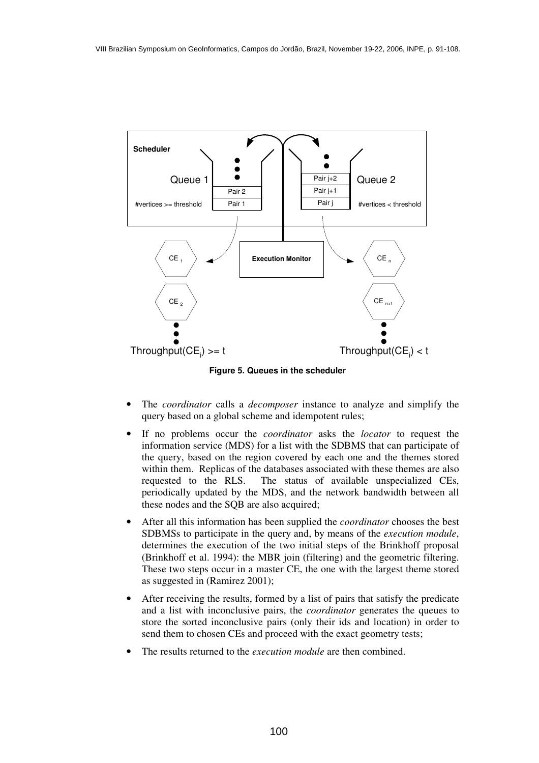

**Figure 5. Queues in the scheduler** 

- The *coordinator* calls a *decomposer* instance to analyze and simplify the query based on a global scheme and idempotent rules;
- If no problems occur the *coordinator* asks the *locator* to request the information service (MDS) for a list with the SDBMS that can participate of the query, based on the region covered by each one and the themes stored within them. Replicas of the databases associated with these themes are also requested to the RLS. The status of available unspecialized CEs, periodically updated by the MDS, and the network bandwidth between all these nodes and the SQB are also acquired;
- After all this information has been supplied the *coordinator* chooses the best SDBMSs to participate in the query and, by means of the *execution module*, determines the execution of the two initial steps of the Brinkhoff proposal (Brinkhoff et al. 1994): the MBR join (filtering) and the geometric filtering. These two steps occur in a master CE, the one with the largest theme stored as suggested in (Ramirez 2001);
- After receiving the results, formed by a list of pairs that satisfy the predicate and a list with inconclusive pairs, the *coordinator* generates the queues to store the sorted inconclusive pairs (only their ids and location) in order to send them to chosen CEs and proceed with the exact geometry tests;
- The results returned to the *execution module* are then combined.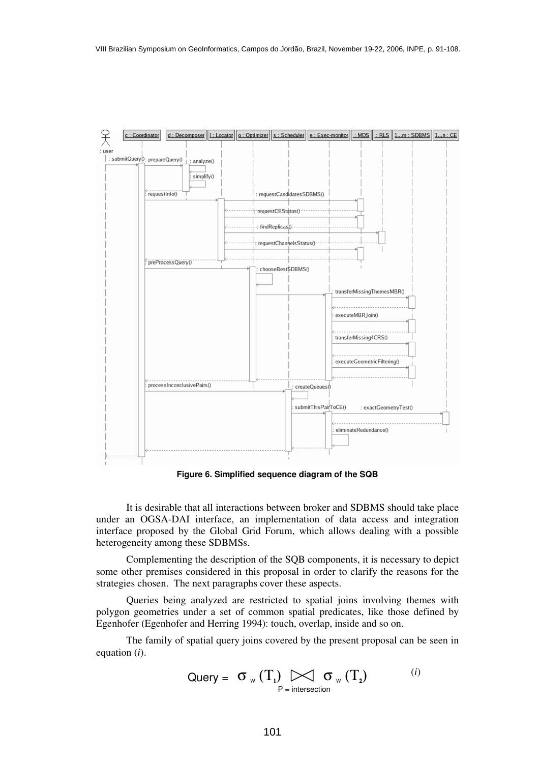

**Figure 6. Simplified sequence diagram of the SQB** 

 It is desirable that all interactions between broker and SDBMS should take place under an OGSA-DAI interface, an implementation of data access and integration interface proposed by the Global Grid Forum, which allows dealing with a possible heterogeneity among these SDBMSs.

 Complementing the description of the SQB components, it is necessary to depict some other premises considered in this proposal in order to clarify the reasons for the strategies chosen. The next paragraphs cover these aspects.

 Queries being analyzed are restricted to spatial joins involving themes with polygon geometries under a set of common spatial predicates, like those defined by Egenhofer (Egenhofer and Herring 1994): touch, overlap, inside and so on.

 The family of spatial query joins covered by the present proposal can be seen in equation (*i*).

$$
\text{Query} = \sigma_{w} (T_{1}) \underset{P = \text{intersection}}{\triangleright} \sigma_{w} (T_{2}) \qquad (i)
$$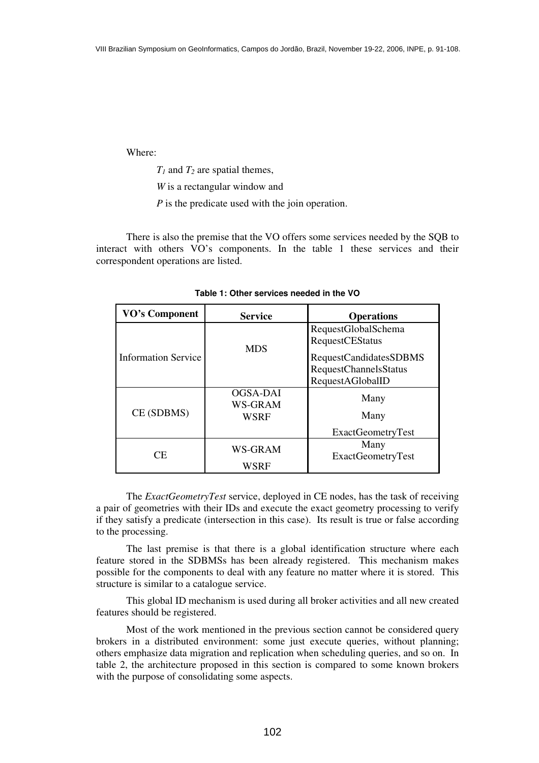Where:

 $T_1$  and  $T_2$  are spatial themes,

*W* is a rectangular window and

*P* is the predicate used with the join operation.

 There is also the premise that the VO offers some services needed by the SQB to interact with others VO's components. In the table 1 these services and their correspondent operations are listed.

| <b>VO's Component</b>      | <b>Service</b>             | <b>Operations</b>                      |  |  |
|----------------------------|----------------------------|----------------------------------------|--|--|
| <b>Information Service</b> | <b>MDS</b>                 | RequestGlobalSchema<br>RequestCEStatus |  |  |
|                            |                            | RequestCandidatesSDBMS                 |  |  |
|                            |                            | <b>RequestChannelsStatus</b>           |  |  |
|                            |                            | RequestAGlobalID                       |  |  |
| CE (SDBMS)                 | <b>OGSA-DAI</b><br>WS-GRAM | Many                                   |  |  |
|                            | WSRF                       | Many                                   |  |  |
|                            |                            | <b>ExactGeometryTest</b>               |  |  |
| CE.                        | WS-GRAM                    | Many<br><b>ExactGeometryTest</b>       |  |  |
|                            | WSRF                       |                                        |  |  |

**Table 1: Other services needed in the VO** 

 The *ExactGeometryTest* service, deployed in CE nodes, has the task of receiving a pair of geometries with their IDs and execute the exact geometry processing to verify if they satisfy a predicate (intersection in this case). Its result is true or false according to the processing.

 The last premise is that there is a global identification structure where each feature stored in the SDBMSs has been already registered. This mechanism makes possible for the components to deal with any feature no matter where it is stored. This structure is similar to a catalogue service.

 This global ID mechanism is used during all broker activities and all new created features should be registered.

 Most of the work mentioned in the previous section cannot be considered query brokers in a distributed environment: some just execute queries, without planning; others emphasize data migration and replication when scheduling queries, and so on. In table 2, the architecture proposed in this section is compared to some known brokers with the purpose of consolidating some aspects.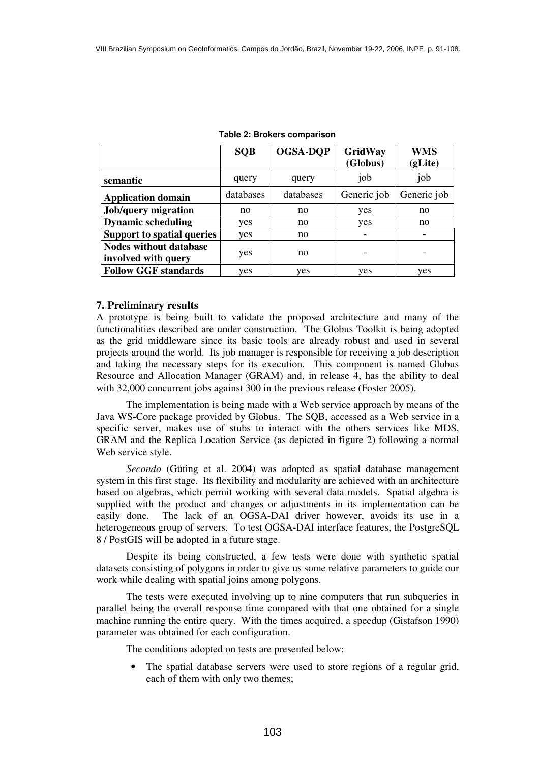|                                                      | <b>SQB</b> | <b>OGSA-DOP</b> | GridWay<br>(Globus) | <b>WMS</b><br>(gLite) |
|------------------------------------------------------|------------|-----------------|---------------------|-----------------------|
| semantic                                             | query      | query           | job                 | job                   |
| <b>Application domain</b>                            | databases  | databases       | Generic job         | Generic job           |
| Job/query migration                                  | no         | no              | yes                 | no                    |
| <b>Dynamic scheduling</b>                            | yes        | no              | yes                 | no                    |
| <b>Support to spatial queries</b>                    | yes        | no              |                     |                       |
| <b>Nodes without database</b><br>involved with query | yes        | no              |                     |                       |
| <b>Follow GGF standards</b>                          | yes        | ves             | yes                 | yes                   |

#### **Table 2: Brokers comparison**

#### **7. Preliminary results**

A prototype is being built to validate the proposed architecture and many of the functionalities described are under construction. The Globus Toolkit is being adopted as the grid middleware since its basic tools are already robust and used in several projects around the world. Its job manager is responsible for receiving a job description and taking the necessary steps for its execution. This component is named Globus Resource and Allocation Manager (GRAM) and, in release 4, has the ability to deal with 32,000 concurrent jobs against 300 in the previous release (Foster 2005).

 The implementation is being made with a Web service approach by means of the Java WS-Core package provided by Globus. The SQB, accessed as a Web service in a specific server, makes use of stubs to interact with the others services like MDS, GRAM and the Replica Location Service (as depicted in figure 2) following a normal Web service style.

*Secondo* (Güting et al. 2004) was adopted as spatial database management system in this first stage. Its flexibility and modularity are achieved with an architecture based on algebras, which permit working with several data models. Spatial algebra is supplied with the product and changes or adjustments in its implementation can be easily done. The lack of an OGSA-DAI driver however, avoids its use in a heterogeneous group of servers. To test OGSA-DAI interface features, the PostgreSQL 8 / PostGIS will be adopted in a future stage.

 Despite its being constructed, a few tests were done with synthetic spatial datasets consisting of polygons in order to give us some relative parameters to guide our work while dealing with spatial joins among polygons.

 The tests were executed involving up to nine computers that run subqueries in parallel being the overall response time compared with that one obtained for a single machine running the entire query. With the times acquired, a speedup (Gistafson 1990) parameter was obtained for each configuration.

The conditions adopted on tests are presented below:

• The spatial database servers were used to store regions of a regular grid, each of them with only two themes;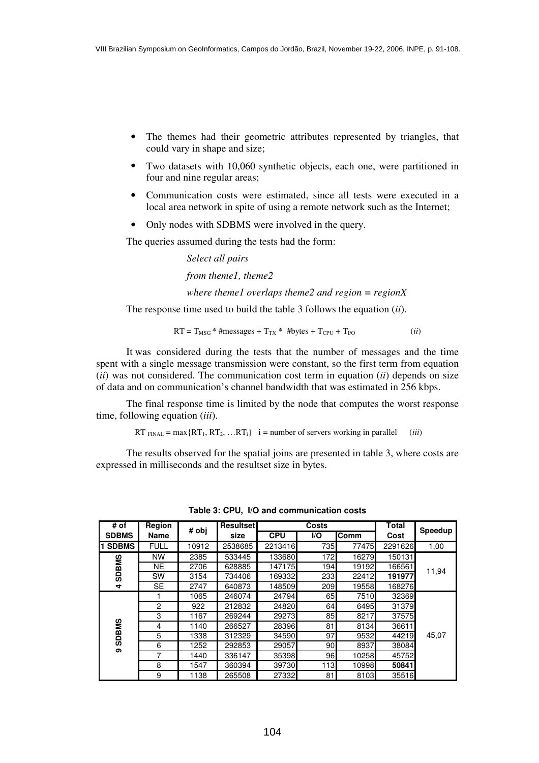- The themes had their geometric attributes represented by triangles, that could vary in shape and size;
- Two datasets with 10,060 synthetic objects, each one, were partitioned in four and nine regular areas;
- Communication costs were estimated, since all tests were executed in a local area network in spite of using a remote network such as the Internet;
- Only nodes with SDBMS were involved in the query.

The queries assumed during the tests had the form:

*Select all pairs from theme1, theme2 where theme1 overlaps theme2 and region = regionX* 

The response time used to build the table 3 follows the equation (*ii*).

$$
RT = TMSG * \#messages + TTX * \#bytes + TCPU + TUO
$$
 (ii)

 It was considered during the tests that the number of messages and the time spent with a single message transmission were constant, so the first term from equation (*ii*) was not considered. The communication cost term in equation (*ii*) depends on size of data and on communication's channel bandwidth that was estimated in 256 kbps.

 The final response time is limited by the node that computes the worst response time, following equation (*iii*).

 $RT_{FINAI} = max\{RT_1, RT_2, ... RT_i\}$  i = number of servers working in parallel (*iii*)

 The results observed for the spatial joins are presented in table 3, where costs are expressed in milliseconds and the resultset size in bytes.

| # of         | Region         |       | <b>Resultset</b><br><b>Costs</b> |            | Total |       |         |         |
|--------------|----------------|-------|----------------------------------|------------|-------|-------|---------|---------|
| <b>SDBMS</b> | Name           | # obj | size                             | <b>CPU</b> | I/O   | Comm  | Cost    | Speedup |
| <b>SDBMS</b> | <b>FULL</b>    | 10912 | 2538685                          | 2213416    | 735I  | 77475 | 2291626 | 1,00    |
|              | <b>NW</b>      | 2385  | 533445                           | 133680     | 172   | 16279 | 150131  | 11,94   |
| SDBMS        | <b>NE</b>      | 2706  | 628885                           | 147175     | 194   | 19192 | 166561  |         |
|              | <b>SW</b>      | 3154  | 734406                           | 169332     | 233   | 22412 | 191977  |         |
| 4            | SЕ             | 2747  | 640873                           | 148509     | 209   | 19558 | 168276  |         |
|              |                | 1065  | 246074                           | 24794      | 65    | 7510  | 32369   |         |
|              | $\overline{c}$ | 922   | 212832                           | 24820      | 64    | 6495  | 31379   |         |
|              | 3              | 1167  | 269244                           | 29273      | 85    | 8217  | 37575   |         |
| <b>SDBMS</b> | 4              | 1140  | 266527                           | 28396      | 81    | 8134  | 36611   |         |
|              | 5              | 1338  | 312329                           | 34590      | 97    | 9532  | 44219   | 45,07   |
| თ            | 6              | 1252  | 292853                           | 29057      | 90    | 8937  | 38084   |         |
|              | 7              | 1440  | 336147                           | 35398      | 96    | 10258 | 45752   |         |
|              | 8              | 1547  | 360394                           | 39730      | 113   | 10998 | 50841   |         |
|              | 9              | 1138  | 265508                           | 27332      | 81    | 8103  | 35516   |         |

**Table 3: CPU, I/O and communication costs**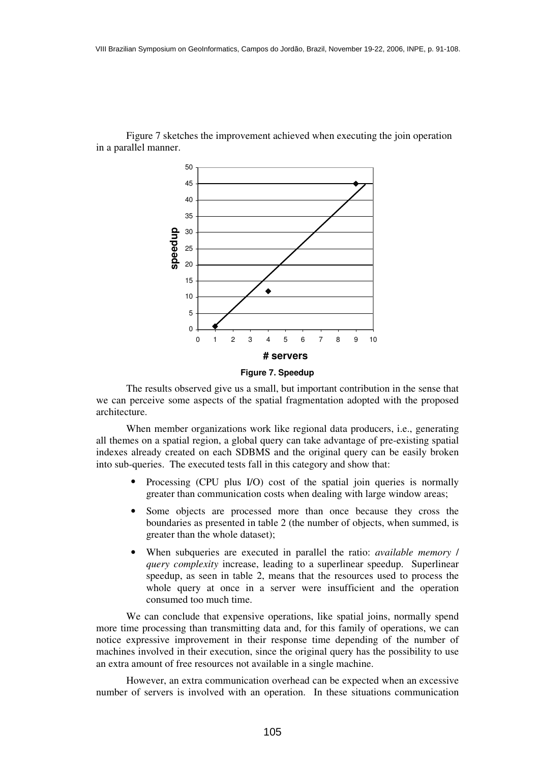

 Figure 7 sketches the improvement achieved when executing the join operation in a parallel manner.

 The results observed give us a small, but important contribution in the sense that we can perceive some aspects of the spatial fragmentation adopted with the proposed architecture.

 When member organizations work like regional data producers, i.e., generating all themes on a spatial region, a global query can take advantage of pre-existing spatial indexes already created on each SDBMS and the original query can be easily broken into sub-queries. The executed tests fall in this category and show that:

- Processing (CPU plus I/O) cost of the spatial join queries is normally greater than communication costs when dealing with large window areas;
- Some objects are processed more than once because they cross the boundaries as presented in table 2 (the number of objects, when summed, is greater than the whole dataset);
- When subqueries are executed in parallel the ratio: *available memory* / *query complexity* increase, leading to a superlinear speedup. Superlinear speedup, as seen in table 2, means that the resources used to process the whole query at once in a server were insufficient and the operation consumed too much time.

 We can conclude that expensive operations, like spatial joins, normally spend more time processing than transmitting data and, for this family of operations, we can notice expressive improvement in their response time depending of the number of machines involved in their execution, since the original query has the possibility to use an extra amount of free resources not available in a single machine.

 However, an extra communication overhead can be expected when an excessive number of servers is involved with an operation. In these situations communication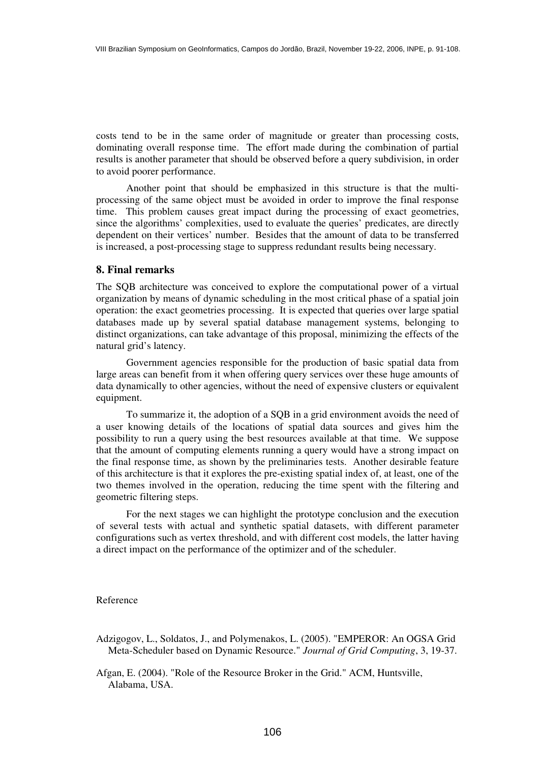costs tend to be in the same order of magnitude or greater than processing costs, dominating overall response time. The effort made during the combination of partial results is another parameter that should be observed before a query subdivision, in order to avoid poorer performance.

 Another point that should be emphasized in this structure is that the multiprocessing of the same object must be avoided in order to improve the final response time. This problem causes great impact during the processing of exact geometries, since the algorithms' complexities, used to evaluate the queries' predicates, are directly dependent on their vertices' number. Besides that the amount of data to be transferred is increased, a post-processing stage to suppress redundant results being necessary.

# **8. Final remarks**

The SQB architecture was conceived to explore the computational power of a virtual organization by means of dynamic scheduling in the most critical phase of a spatial join operation: the exact geometries processing. It is expected that queries over large spatial databases made up by several spatial database management systems, belonging to distinct organizations, can take advantage of this proposal, minimizing the effects of the natural grid's latency.

 Government agencies responsible for the production of basic spatial data from large areas can benefit from it when offering query services over these huge amounts of data dynamically to other agencies, without the need of expensive clusters or equivalent equipment.

 To summarize it, the adoption of a SQB in a grid environment avoids the need of a user knowing details of the locations of spatial data sources and gives him the possibility to run a query using the best resources available at that time. We suppose that the amount of computing elements running a query would have a strong impact on the final response time, as shown by the preliminaries tests. Another desirable feature of this architecture is that it explores the pre-existing spatial index of, at least, one of the two themes involved in the operation, reducing the time spent with the filtering and geometric filtering steps.

 For the next stages we can highlight the prototype conclusion and the execution of several tests with actual and synthetic spatial datasets, with different parameter configurations such as vertex threshold, and with different cost models, the latter having a direct impact on the performance of the optimizer and of the scheduler.

#### Reference

- Adzigogov, L., Soldatos, J., and Polymenakos, L. (2005). "EMPEROR: An OGSA Grid Meta-Scheduler based on Dynamic Resource." *Journal of Grid Computing*, 3, 19-37.
- Afgan, E. (2004). "Role of the Resource Broker in the Grid." ACM, Huntsville, Alabama, USA.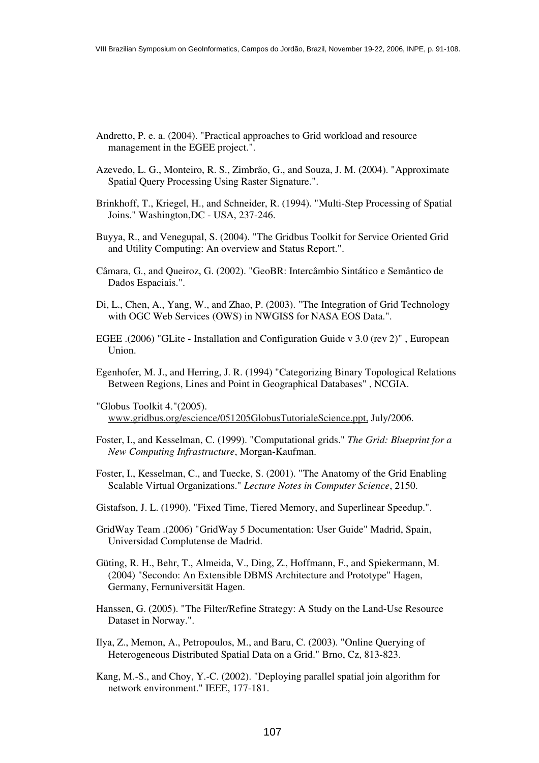- Andretto, P. e. a. (2004). "Practical approaches to Grid workload and resource management in the EGEE project.".
- Azevedo, L. G., Monteiro, R. S., Zimbrão, G., and Souza, J. M. (2004). "Approximate Spatial Query Processing Using Raster Signature.".
- Brinkhoff, T., Kriegel, H., and Schneider, R. (1994). "Multi-Step Processing of Spatial Joins." Washington,DC - USA, 237-246.
- Buyya, R., and Venegupal, S. (2004). "The Gridbus Toolkit for Service Oriented Grid and Utility Computing: An overview and Status Report.".
- Câmara, G., and Queiroz, G. (2002). "GeoBR: Intercâmbio Sintático e Semântico de Dados Espaciais.".
- Di, L., Chen, A., Yang, W., and Zhao, P. (2003). "The Integration of Grid Technology with OGC Web Services (OWS) in NWGISS for NASA EOS Data.".
- EGEE .(2006) "GLite Installation and Configuration Guide v 3.0 (rev 2)" , European Union.
- Egenhofer, M. J., and Herring, J. R. (1994) "Categorizing Binary Topological Relations Between Regions, Lines and Point in Geographical Databases" , NCGIA.
- "Globus Toolkit 4."(2005). www.gridbus.org/escience/051205GlobusTutorialeScience.ppt, July/2006.
- Foster, I., and Kesselman, C. (1999). "Computational grids." *The Grid: Blueprint for a New Computing Infrastructure*, Morgan-Kaufman.
- Foster, I., Kesselman, C., and Tuecke, S. (2001). "The Anatomy of the Grid Enabling Scalable Virtual Organizations." *Lecture Notes in Computer Science*, 2150.
- Gistafson, J. L. (1990). "Fixed Time, Tiered Memory, and Superlinear Speedup.".
- GridWay Team .(2006) "GridWay 5 Documentation: User Guide" Madrid, Spain, Universidad Complutense de Madrid.
- Güting, R. H., Behr, T., Almeida, V., Ding, Z., Hoffmann, F., and Spiekermann, M. (2004) "Secondo: An Extensible DBMS Architecture and Prototype" Hagen, Germany, Fernuniversität Hagen.
- Hanssen, G. (2005). "The Filter/Refine Strategy: A Study on the Land-Use Resource Dataset in Norway.".
- Ilya, Z., Memon, A., Petropoulos, M., and Baru, C. (2003). "Online Querying of Heterogeneous Distributed Spatial Data on a Grid." Brno, Cz, 813-823.
- Kang, M.-S., and Choy, Y.-C. (2002). "Deploying parallel spatial join algorithm for network environment." IEEE, 177-181.